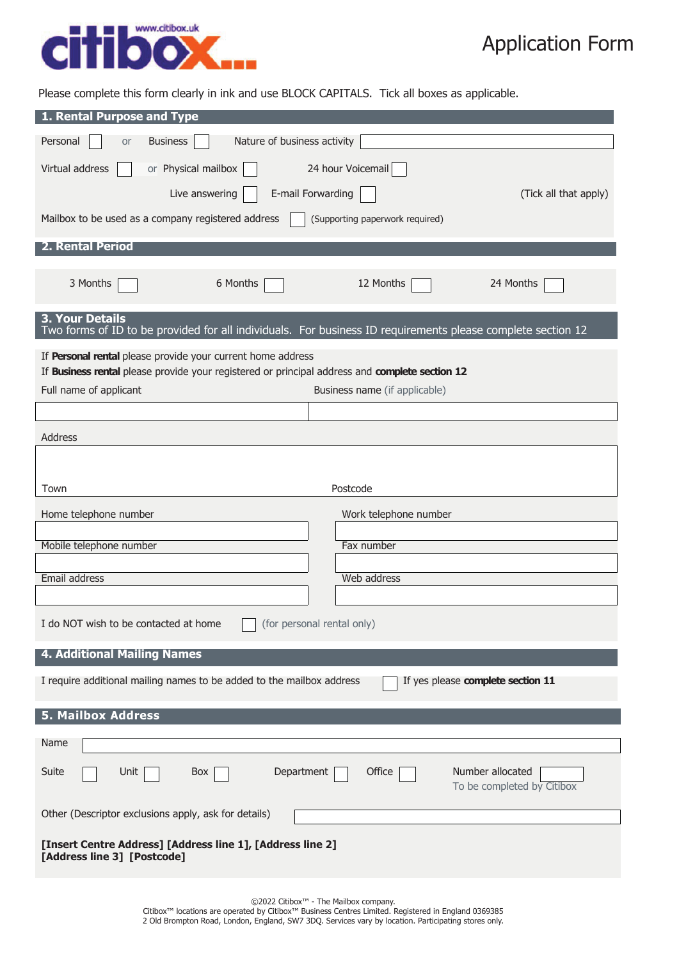

## Application Form

Please complete this form clearly in ink and use BLOCK CAPITALS. Tick all boxes as applicable.

| 1. Rental Purpose and Type                                                                                                                                |  |  |
|-----------------------------------------------------------------------------------------------------------------------------------------------------------|--|--|
| Nature of business activity<br>Personal<br><b>Business</b><br>or                                                                                          |  |  |
| Virtual address<br>or Physical mailbox<br>24 hour Voicemail                                                                                               |  |  |
| E-mail Forwarding<br>Live answering<br>(Tick all that apply)                                                                                              |  |  |
| Mailbox to be used as a company registered address<br>(Supporting paperwork required)                                                                     |  |  |
| 2. Rental Period                                                                                                                                          |  |  |
|                                                                                                                                                           |  |  |
| 3 Months<br>6 Months<br>12 Months<br>24 Months                                                                                                            |  |  |
| <b>3. Your Details</b><br>Two forms of ID to be provided for all individuals. For business ID requirements please complete section 12                     |  |  |
| If Personal rental please provide your current home address                                                                                               |  |  |
| If Business rental please provide your registered or principal address and complete section 12<br>Full name of applicant<br>Business name (if applicable) |  |  |
|                                                                                                                                                           |  |  |
| <b>Address</b>                                                                                                                                            |  |  |
|                                                                                                                                                           |  |  |
| Postcode<br>Town                                                                                                                                          |  |  |
| Home telephone number<br>Work telephone number                                                                                                            |  |  |
|                                                                                                                                                           |  |  |
| Mobile telephone number<br>Fax number                                                                                                                     |  |  |
| Email address<br>Web address                                                                                                                              |  |  |
|                                                                                                                                                           |  |  |
| I do NOT wish to be contacted at home<br>(for personal rental only)                                                                                       |  |  |
| <b>4. Additional Mailing Names</b>                                                                                                                        |  |  |
| I require additional mailing names to be added to the mailbox address<br>If yes please complete section 11                                                |  |  |
| <b>5. Mailbox Address</b>                                                                                                                                 |  |  |
| Name                                                                                                                                                      |  |  |
| Number allocated<br>Department<br>Office<br>Suite<br>Unit<br>Box<br>To be completed by Citibox                                                            |  |  |
| Other (Descriptor exclusions apply, ask for details)                                                                                                      |  |  |
| [Insert Centre Address] [Address line 1], [Address line 2]<br>[Address line 3] [Postcode]                                                                 |  |  |

©2022 Citibox™ - The Mailbox company.

©2022 Citibox™ - The Mailbox company.<br>Citibox™ locations are operated by Citibox™ Business Centres Limited. Registered in England 0369385<br>2 Old Brompton Road, London, England, SW7 3DO. Services vary by location. Participa Citibox™ locations are operated by Citibox™ Business Centres Limited. Registered in England 0369385 2 Old Brompton Road, London, England, SW7 3DQ. Services vary by location. Participating stores only.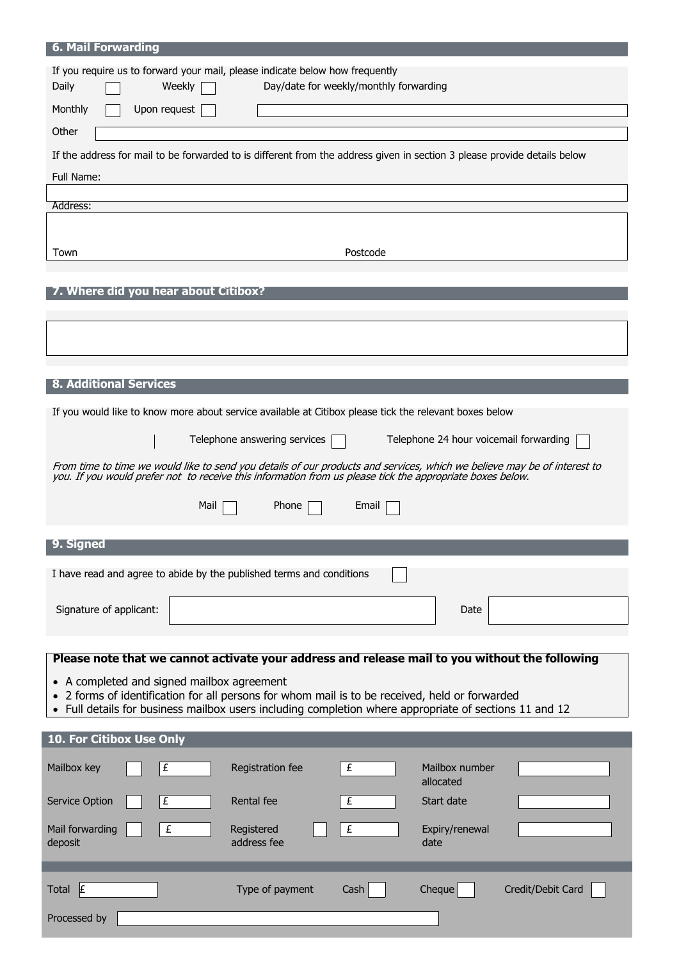| <b>6. Mail Forwarding</b>                                                                                                                                                                                |  |  |
|----------------------------------------------------------------------------------------------------------------------------------------------------------------------------------------------------------|--|--|
| If you require us to forward your mail, please indicate below how frequently<br>Day/date for weekly/monthly forwarding<br>Daily<br>Weekly                                                                |  |  |
| Monthly<br>Upon request                                                                                                                                                                                  |  |  |
| Other                                                                                                                                                                                                    |  |  |
| If the address for mail to be forwarded to is different from the address given in section 3 please provide details below                                                                                 |  |  |
| Full Name:                                                                                                                                                                                               |  |  |
| Address:                                                                                                                                                                                                 |  |  |
|                                                                                                                                                                                                          |  |  |
| Postcode<br>Town                                                                                                                                                                                         |  |  |
|                                                                                                                                                                                                          |  |  |
| 7. Where did you hear about Citibox?                                                                                                                                                                     |  |  |
|                                                                                                                                                                                                          |  |  |
|                                                                                                                                                                                                          |  |  |
|                                                                                                                                                                                                          |  |  |
| <b>8. Additional Services</b>                                                                                                                                                                            |  |  |
| If you would like to know more about service available at Citibox please tick the relevant boxes below                                                                                                   |  |  |
| Telephone 24 hour voicemail forwarding<br>Telephone answering services                                                                                                                                   |  |  |
| From time to time we would like to send you details of our products and services, which we believe may be of interest to                                                                                 |  |  |
| you. If you would prefer not to receive this information from us please tick the appropriate boxes below.                                                                                                |  |  |
| Mail<br>Phone<br>Email                                                                                                                                                                                   |  |  |
| 9. Signed                                                                                                                                                                                                |  |  |
|                                                                                                                                                                                                          |  |  |
| I have read and agree to abide by the published terms and conditions                                                                                                                                     |  |  |
| Signature of applicant:<br>Date                                                                                                                                                                          |  |  |
|                                                                                                                                                                                                          |  |  |
| Please note that we cannot activate your address and release mail to you without the following                                                                                                           |  |  |
| • A completed and signed mailbox agreement                                                                                                                                                               |  |  |
| • 2 forms of identification for all persons for whom mail is to be received, held or forwarded<br>• Full details for business mailbox users including completion where appropriate of sections 11 and 12 |  |  |
|                                                                                                                                                                                                          |  |  |
| 10. For Citibox Use Only                                                                                                                                                                                 |  |  |
| £<br>Registration fee<br>£<br>Mailbox number<br>Mailbox key<br>allocated                                                                                                                                 |  |  |
| Start date<br>Service Option<br>£<br>Rental fee<br>£                                                                                                                                                     |  |  |
| Mail forwarding<br>£<br>Registered<br>£<br>Expiry/renewal                                                                                                                                                |  |  |
| address fee<br>deposit<br>date                                                                                                                                                                           |  |  |
|                                                                                                                                                                                                          |  |  |
| Type of payment<br>Cheque<br>Credit/Debit Card<br>Total<br>Ι£<br>Cash                                                                                                                                    |  |  |
| Processed by                                                                                                                                                                                             |  |  |